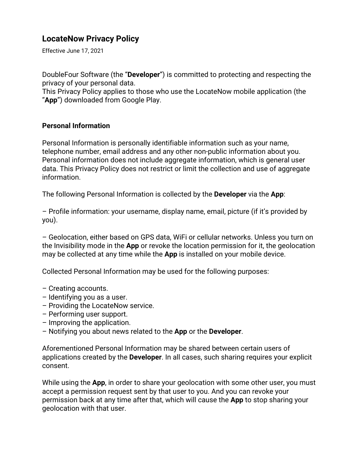## **LocateNow Privacy Policy**

Effective June 17, 2021

DoubleFour Software (the "**Developer**") is committed to protecting and respecting the privacy of your personal data.

This Privacy Policy applies to those who use the LocateNow mobile application (the "**App**") downloaded from Google Play.

## **Personal Information**

Personal Information is personally identifiable information such as your name, telephone number, email address and any other non-public information about you. Personal information does not include aggregate information, which is general user data. This Privacy Policy does not restrict or limit the collection and use of aggregate information.

The following Personal Information is collected by the **Developer** via the **App**:

– Profile information: your username, display name, email, picture (if it's provided by you).

– Geolocation, either based on GPS data, WiFi or cellular networks. Unless you turn on the Invisibility mode in the **App** or revoke the location permission for it, the geolocation may be collected at any time while the **App** is installed on your mobile device.

Collected Personal Information may be used for the following purposes:

- Creating accounts.
- Identifying you as a user.
- Providing the LocateNow service.
- Performing user support.
- Improving the application.
- Notifying you about news related to the **App** or the **Developer**.

Aforementioned Personal Information may be shared between certain users of applications created by the **Developer**. In all cases, such sharing requires your explicit consent.

While using the **App**, in order to share your geolocation with some other user, you must accept a permission request sent by that user to you. And you can revoke your permission back at any time after that, which will cause the **App** to stop sharing your geolocation with that user.